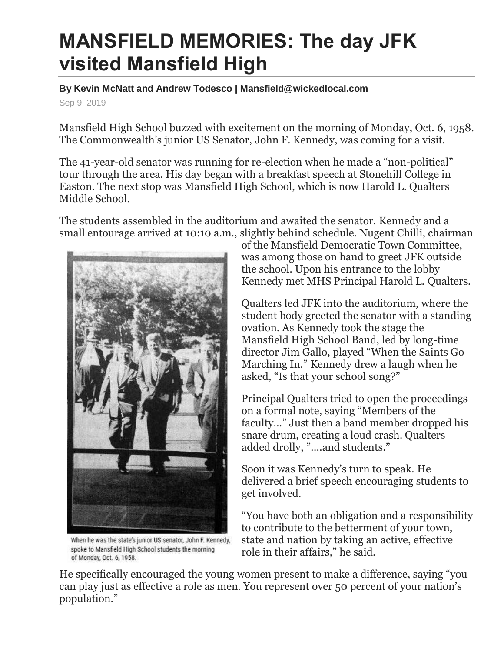## **MANSFIELD MEMORIES: The day JFK visited Mansfield High**

**By Kevin McNatt and Andrew Todesco | Mansfield@wickedlocal.com**

Sep 9, 2019

Mansfield High School buzzed with excitement on the morning of Monday, Oct. 6, 1958. The Commonwealth's junior US Senator, John F. Kennedy, was coming for a visit.

The 41-year-old senator was running for re-election when he made a "non-political" tour through the area. His day began with a breakfast speech at Stonehill College in Easton. The next stop was Mansfield High School, which is now Harold L. Qualters Middle School.

The students assembled in the auditorium and awaited the senator. Kennedy and a small entourage arrived at 10:10 a.m., slightly behind schedule. Nugent Chilli, chairman



When he was the state's junior US senator, John F. Kennedy, spoke to Mansfield High School students the morning of Monday, Oct. 6, 1958.

of the Mansfield Democratic Town Committee, was among those on hand to greet JFK outside the school. Upon his entrance to the lobby Kennedy met MHS Principal Harold L. Qualters.

Qualters led JFK into the auditorium, where the student body greeted the senator with a standing ovation. As Kennedy took the stage the Mansfield High School Band, led by long-time director Jim Gallo, played "When the Saints Go Marching In." Kennedy drew a laugh when he asked, "Is that your school song?"

Principal Qualters tried to open the proceedings on a formal note, saying "Members of the faculty..." Just then a band member dropped his snare drum, creating a loud crash. Qualters added drolly, "....and students."

Soon it was Kennedy's turn to speak. He delivered a brief speech encouraging students to get involved.

"You have both an obligation and a responsibility to contribute to the betterment of your town, state and nation by taking an active, effective role in their affairs," he said.

He specifically encouraged the young women present to make a difference, saying "you can play just as effective a role as men. You represent over 50 percent of your nation's population."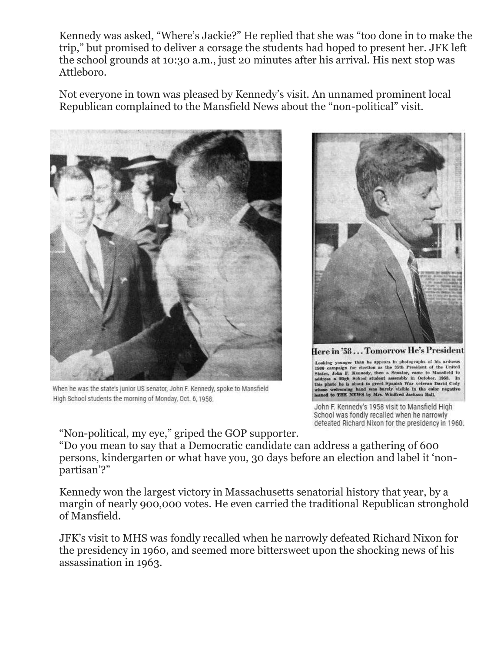Kennedy was asked, "Where's Jackie?" He replied that she was "too done in to make the trip," but promised to deliver a corsage the students had hoped to present her. JFK left the school grounds at 10:30 a.m., just 20 minutes after his arrival. His next stop was Attleboro.

Not everyone in town was pleased by Kennedy's visit. An unnamed prominent local Republican complained to the Mansfield News about the "non-political" visit.



When he was the state's junior US senator, John F. Kennedy, spoke to Mansfield High School students the morning of Monday, Oct. 6, 1958.



Here in '58 . . . Tomorrow He's President Leoking younger than he appears in photographs of his ardueus<br>1980 campuign for election as the 55th President of the United States, John F. Kennedy, then a Senator, came to Mansfeld to<br>solvers a High School student assem loaned to THE NEWS by Mrs. Winifred Jackson Ball.

John F. Kennedy's 1958 visit to Mansfield High School was fondly recalled when he narrowly deteated Richard Nixon for the presidency in 1960.

"Non-political, my eye," griped the GOP supporter.

"Do you mean to say that a Democratic candidate can address a gathering of 600 persons, kindergarten or what have you, 30 days before an election and label it 'nonpartisan'?"

Kennedy won the largest victory in Massachusetts senatorial history that year, by a margin of nearly 900,000 votes. He even carried the traditional Republican stronghold of Mansfield.

JFK's visit to MHS was fondly recalled when he narrowly defeated Richard Nixon for the presidency in 1960, and seemed more bittersweet upon the shocking news of his assassination in 1963.